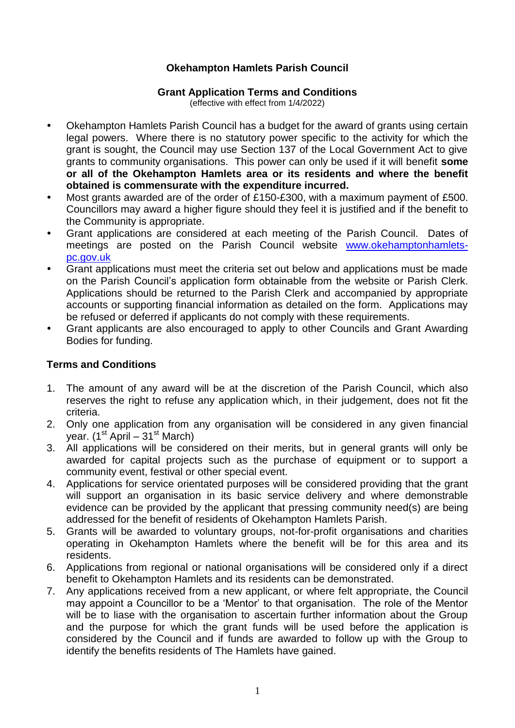## **Okehampton Hamlets Parish Council**

## **Grant Application Terms and Conditions**

(effective with effect from 1/4/2022)

- Okehampton Hamlets Parish Council has a budget for the award of grants using certain legal powers. Where there is no statutory power specific to the activity for which the grant is sought, the Council may use Section 137 of the Local Government Act to give grants to community organisations. This power can only be used if it will benefit **some or all of the Okehampton Hamlets area or its residents and where the benefit obtained is commensurate with the expenditure incurred.**
- Most grants awarded are of the order of £150-£300, with a maximum payment of £500. Councillors may award a higher figure should they feel it is justified and if the benefit to the Community is appropriate.
- Grant applications are considered at each meeting of the Parish Council. Dates of meetings are posted on the Parish Council website [www.okehamptonhamlets](http://www.okehamptonhamlets-pc.gov.uk/)[pc.gov.uk](http://www.okehamptonhamlets-pc.gov.uk/)
- Grant applications must meet the criteria set out below and applications must be made on the Parish Council's application form obtainable from the website or Parish Clerk. Applications should be returned to the Parish Clerk and accompanied by appropriate accounts or supporting financial information as detailed on the form. Applications may be refused or deferred if applicants do not comply with these requirements.
- Grant applicants are also encouraged to apply to other Councils and Grant Awarding Bodies for funding.

## **Terms and Conditions**

- 1. The amount of any award will be at the discretion of the Parish Council, which also reserves the right to refuse any application which, in their judgement, does not fit the criteria.
- 2. Only one application from any organisation will be considered in any given financial year.  $(1^{\text{st}}$  April –  $31^{\text{st}}$  March)
- 3. All applications will be considered on their merits, but in general grants will only be awarded for capital projects such as the purchase of equipment or to support a community event, festival or other special event.
- 4. Applications for service orientated purposes will be considered providing that the grant will support an organisation in its basic service delivery and where demonstrable evidence can be provided by the applicant that pressing community need(s) are being addressed for the benefit of residents of Okehampton Hamlets Parish.
- 5. Grants will be awarded to voluntary groups, not-for-profit organisations and charities operating in Okehampton Hamlets where the benefit will be for this area and its residents.
- 6. Applications from regional or national organisations will be considered only if a direct benefit to Okehampton Hamlets and its residents can be demonstrated.
- 7. Any applications received from a new applicant, or where felt appropriate, the Council may appoint a Councillor to be a 'Mentor' to that organisation. The role of the Mentor will be to liase with the organisation to ascertain further information about the Group and the purpose for which the grant funds will be used before the application is considered by the Council and if funds are awarded to follow up with the Group to identify the benefits residents of The Hamlets have gained.